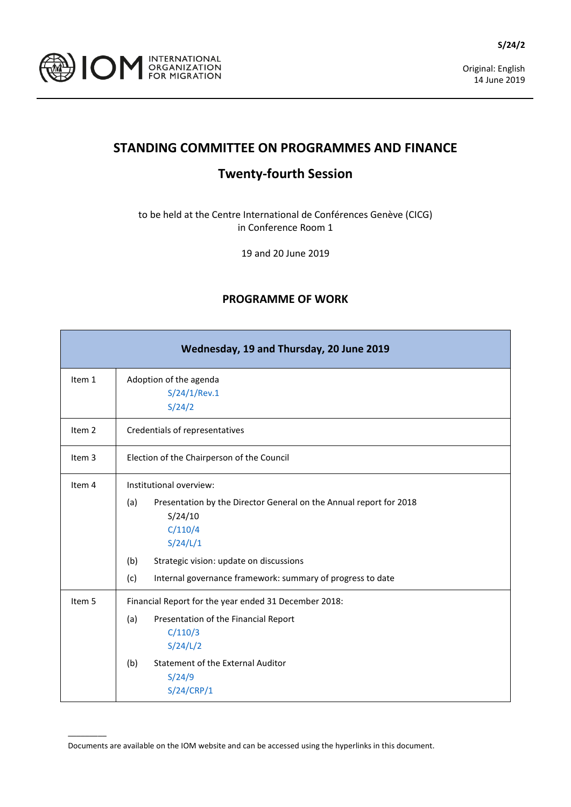

## **STANDING COMMITTEE ON PROGRAMMES AND FINANCE**

## **Twenty-fourth Session**

to be held at the Centre International de Conférences Genève (CICG) in Conference Room 1

19 and 20 June 2019

## **PROGRAMME OF WORK**

|                   | Wednesday, 19 and Thursday, 20 June 2019                                                                                                                                                                                                                      |
|-------------------|---------------------------------------------------------------------------------------------------------------------------------------------------------------------------------------------------------------------------------------------------------------|
| Item 1            | Adoption of the agenda<br>S/24/1/Rev.1<br>S/24/2                                                                                                                                                                                                              |
| Item <sub>2</sub> | Credentials of representatives                                                                                                                                                                                                                                |
| Item 3            | Election of the Chairperson of the Council                                                                                                                                                                                                                    |
| Item 4            | Institutional overview:<br>(a)<br>Presentation by the Director General on the Annual report for 2018<br>S/24/10<br>C/110/4<br>S/24/L/1<br>Strategic vision: update on discussions<br>(b)<br>(c)<br>Internal governance framework: summary of progress to date |
| Item 5            | Financial Report for the year ended 31 December 2018:<br>(a)<br>Presentation of the Financial Report<br>C/110/3<br>S/24/L/2<br>(b)<br><b>Statement of the External Auditor</b><br>S/24/9<br>S/24/CRP/1                                                        |

Documents are available on the IOM website and can be accessed using the hyperlinks in this document.

 $\overline{\phantom{a}}$